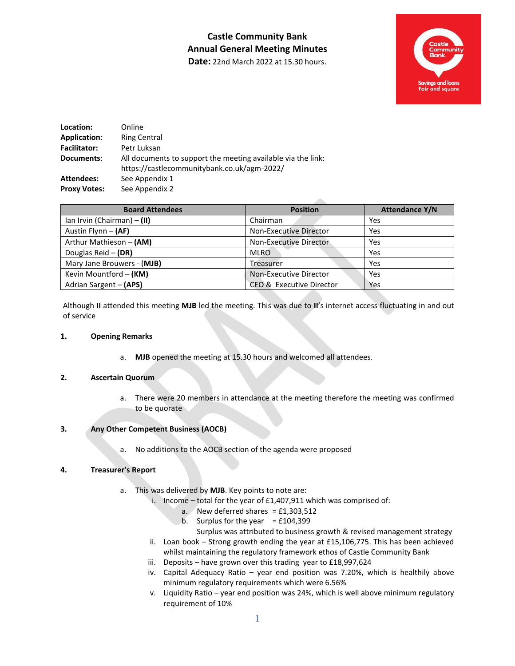# **Castle Community Bank Annual General Meeting Minutes**



**Date:** 22nd March 2022 at 15.30 hours.

| Location:           | Online                                                                                                      |
|---------------------|-------------------------------------------------------------------------------------------------------------|
| Application:        | <b>Ring Central</b>                                                                                         |
| <b>Facilitator:</b> | Petr Luksan                                                                                                 |
| Documents:          | All documents to support the meeting available via the link:<br>https://castlecommunitybank.co.uk/agm-2022/ |
| Attendees:          | See Appendix 1                                                                                              |
| <b>Proxy Votes:</b> | See Appendix 2                                                                                              |

| <b>Board Attendees</b>        | <b>Position</b>          | <b>Attendance Y/N</b> |
|-------------------------------|--------------------------|-----------------------|
| Ian Irvin (Chairman) $-$ (II) | Chairman                 | Yes                   |
| Austin Flynn - (AF)           | Non-Executive Director   | Yes                   |
| Arthur Mathieson - (AM)       | Non-Executive Director   | Yes                   |
| Douglas Reid - (DR)           | <b>MLRO</b>              | Yes                   |
| Mary Jane Brouwers - (MJB)    | Treasurer                | Yes                   |
| Kevin Mountford - (KM)        | Non-Executive Director   | Yes                   |
| Adrian Sargent - (APS)        | CEO & Executive Director | Yes                   |

Although **II** attended this meeting **MJB** led the meeting. This was due to **II**'s internet access fluctuating in and out of service

#### **1. Opening Remarks**

a. **MJB** opened the meeting at 15.30 hours and welcomed all attendees.

#### **2. Ascertain Quorum**

a. There were 20 members in attendance at the meeting therefore the meeting was confirmed to be quorate

#### **3. Any Other Competent Business (AOCB)**

a. No additions to the AOCB section of the agenda were proposed

#### **4. Treasurer's Report**

- a. This was delivered by **MJB**. Key points to note are:
	- i. Income total for the year of £1,407,911 which was comprised of:
		- a. New deferred shares =  $£1,303,512$
		- b. Surplus for the year  $=$  £104,399
		- Surplus was attributed to business growth & revised management strategy
	- ii. Loan book Strong growth ending the year at £15,106,775. This has been achieved whilst maintaining the regulatory framework ethos of Castle Community Bank
	- iii. Deposits have grown over this trading year to £18,997,624
	- iv. Capital Adequacy Ratio year end position was 7.20%, which is healthily above minimum regulatory requirements which were 6.56%
	- v. Liquidity Ratio year end position was 24%, which is well above minimum regulatory requirement of 10%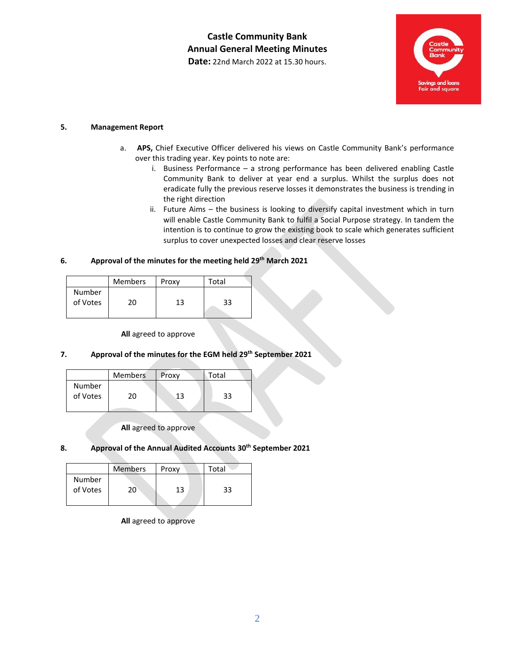**Castle Community Bank Annual General Meeting Minutes Date:** 22nd March 2022 at 15.30 hours.



#### **5. Management Report**

- a. **APS,** Chief Executive Officer delivered his views on Castle Community Bank's performance over this trading year. Key points to note are:
	- i. Business Performance a strong performance has been delivered enabling Castle Community Bank to deliver at year end a surplus. Whilst the surplus does not eradicate fully the previous reserve losses it demonstrates the business is trending in the right direction
	- ii. Future Aims the business is looking to diversify capital investment which in turn will enable Castle Community Bank to fulfil a Social Purpose strategy. In tandem the intention is to continue to grow the existing book to scale which generates sufficient surplus to cover unexpected losses and clear reserve losses

#### **6. Approval of the minutes for the meeting held 29 th March 2021**

|                    | <b>Members</b> | Proxy | Total |  |
|--------------------|----------------|-------|-------|--|
| Number<br>of Votes | ∩ר             | 13    | 33    |  |

**All** agreed to approve

#### **7. Approval of the minutes for the EGM held 29 th September 2021**

|                    | <b>Members</b> | Proxy | Total |  |
|--------------------|----------------|-------|-------|--|
| Number<br>of Votes | 20.            | 13    | 33    |  |
|                    |                |       |       |  |

**All** agreed to approve

#### **8. Approval of the Annual Audited Accounts 30th September 2021**

|                    | <b>Members</b> | Proxy | Total |
|--------------------|----------------|-------|-------|
| Number<br>of Votes | 20             | 13    | 33    |

**All** agreed to approve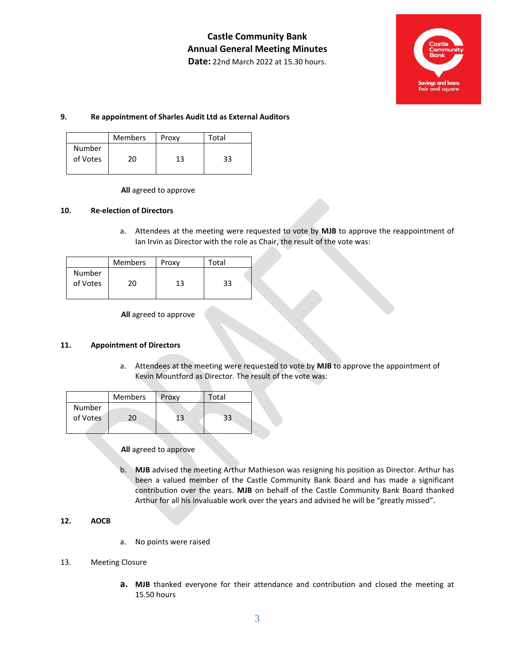

#### **9. Re appointment of Sharles Audit Ltd as External Auditors**

|                    | <b>Members</b> | Proxy | Total |
|--------------------|----------------|-------|-------|
| Number<br>of Votes | 20             | 13    | 33    |

#### **All** agreed to approve

#### **10. Re-election of Directors**

a. Attendees at the meeting were requested to vote by **MJB** to approve the reappointment of Ian Irvin as Director with the role as Chair, the result of the vote was:

|                    | <b>Members</b> | Proxy | Total |  |
|--------------------|----------------|-------|-------|--|
| Number<br>of Votes | 20             | 13    | 33    |  |

**All** agreed to approve

#### **11. Appointment of Directors**

a. Attendees at the meeting were requested to vote by **MJB** to approve the appointment of Kevin Mountford as Director. The result of the vote was:

|                    | <b>Members</b> | Proxy | Total |  |
|--------------------|----------------|-------|-------|--|
| Number<br>of Votes | 20.            | 13    | 33    |  |

#### **All** agreed to approve

b. **MJB** advised the meeting Arthur Mathieson was resigning his position as Director. Arthur has been a valued member of the Castle Community Bank Board and has made a significant contribution over the years. **MJB** on behalf of the Castle Community Bank Board thanked Arthur for all his invaluable work over the years and advised he will be "greatly missed".

#### **12. AOCB**

a. No points were raised

#### 13. Meeting Closure

**a. MJB** thanked everyone for their attendance and contribution and closed the meeting at 15.50 hours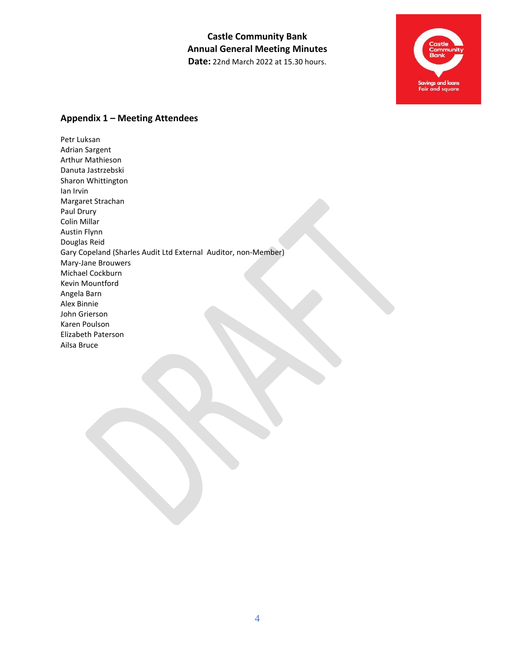**Castle Community Bank Annual General Meeting Minutes Date:** 22nd March 2022 at 15.30 hours.



### **Appendix 1 – Meeting Attendees**

Petr Luksan Adrian Sargent Arthur Mathieson Danuta Jastrzebski Sharon Whittington Ian Irvin Margaret Strachan Paul Drury Colin Millar Austin Flynn Douglas Reid Gary Copeland (Sharles Audit Ltd External Auditor, non-Member) Mary-Jane Brouwers Michael Cockburn Kevin Mountford Angela Barn Alex Binnie John Grierson Karen Poulson Elizabeth Paterson Ailsa Bruce